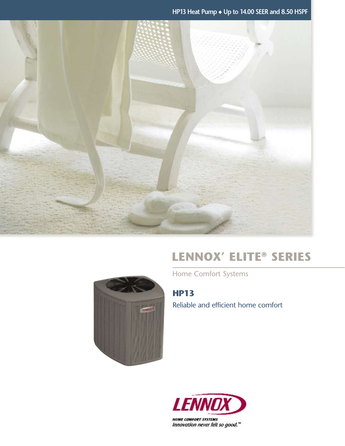**HP13 Heat Pump** ◆ **Up to 14.00 SEER and 8.50 HSPF**



## **Lennox' Elite® Series**

Home Comfort Systems

**HP13** Reliable and efficient home comfort



**HOME COMFORT SYSTEMS** Innovation never felt so good."

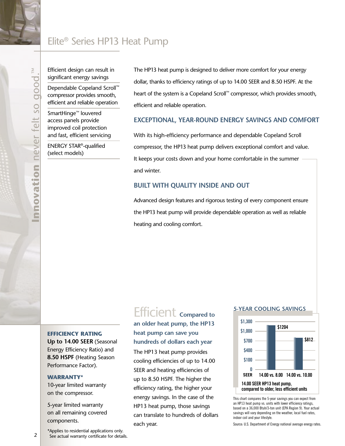## Elite® Series HP13 Heat Pump

Efficient design can result in significant energy savings

Dependable Copeland Scroll™ compressor provides smooth, efficient and reliable operation

SmartHinge™ louvered access panels provide improved coil protection and fast, efficient servicing

ENERGY STAR®-qualified (select models)

The HP13 heat pump is designed to deliver more comfort for your energy dollar, thanks to efficiency ratings of up to 14.00 SEER and 8.50 HSPF. At the heart of the system is a Copeland Scroll™ compressor, which provides smooth, efficient and reliable operation.

#### **Exceptional, year-round energy savings and comfort**

With its high-efficiency performance and dependable Copeland Scroll compressor, the HP13 heat pump delivers exceptional comfort and value. It keeps your costs down and your home comfortable in the summer and winter.

### **Built with quality inside and out**

Advanced design features and rigorous testing of every component ensure the HP13 heat pump will provide dependable operation as well as reliable heating and cooling comfort.

#### **Efficiency rating**

**Up to 14.00 SEER** (Seasonal Energy Efficiency Ratio) and **8.50 HSPF** (Heating Season Performance Factor).

#### **Warranty\***

10-year limited warranty on the compressor.

5-year limited warranty on all remaining covered components.

# Efficient **Compared to**

## **an older heat pump, the HP13 heat pump can save you hundreds of dollars each year**

The HP13 heat pump provides cooling efficiencies of up to 14.00 SEER and heating efficiencies of up to 8.50 HSPF. The higher the efficiency rating, the higher your energy savings. In the case of the HP13 heat pump, those savings can translate to hundreds of dollars each year.

#### **5-year cooling savings**



This chart compares the 5-year savings you can expect from an HP13 heat pump vs. units with lower efficiency ratings, based on a 36,000 Btuh/3-ton unit (EPA Region 9). Your actual savings will vary depending on the weather, local fuel rates, indoor coil and your lifestyle.

Source: U.S. Department of Energy national average energy rates.

\*Applies to residential applications only. See actual warranty certificate for details.

 $\geq$ **Innovation** never felt so good.™ aood never felt so nnovation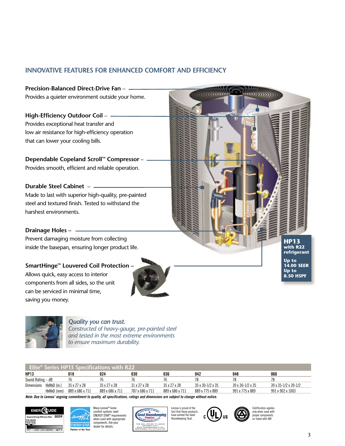## **Innovative Features for Enhanced Comfort and Efficiency**

**Precision-Balanced Direct-Drive Fan** – Provides a quieter environment outside your home. **High-Efficiency Outdoor Coil** – Provides exceptional heat transfer and low air resistance for high-efficiency operation that can lower your cooling bills. **Dependable Copeland Scroll™ Compressor** – Provides smooth, efficient and reliable operation. **Durable Steel Cabinet** – Made to last with superior high-quality, pre-painted steel and textured finish. Tested to withstand the harshest environments. **Drainage Holes –** Prevent damaging moisture from collecting inside the basepan, ensuring longer product life. **SmartHinge™ Louvered Coil Protection –** Allows quick, easy access to interior components from all sides, so the unit can be serviced in minimal time,



saving you money.

#### *Quality you can trust.*

*Constructed of heavy-gauge, pre-painted steel and tested in the most extreme environments to ensure maximum durability.*

| Elite <sup>®</sup> Series HP13 Specifications with R22 |             |                 |                 |                          |                          |                                |                                |                                      |
|--------------------------------------------------------|-------------|-----------------|-----------------|--------------------------|--------------------------|--------------------------------|--------------------------------|--------------------------------------|
| <b>HP13</b>                                            |             | 018             | 024             | 030                      | 036                      | 042                            | 048                            | 060                                  |
| Sound Rating – dB                                      |             |                 |                 |                          |                          |                                | 78                             | 78                                   |
| Dimensions                                             | HxWxD (in.) | 35 x 27 x 28    | 35 x 27 x 28    | $31 \times 27 \times 28$ | $35 \times 27 \times 28$ | $35 \times 30 - 1/2 \times 35$ | $39 \times 30 - 1/2 \times 35$ | $39 \times 35 - 1/2 \times 39 - 1/2$ |
|                                                        | HxWxD (mm)  | 889 x 686 x 711 | 889 x 686 x 711 | 787 x 686 x 711          | 889 x 686 x 711          | 889 x 775 x 889                | 991 x 775 x 889                | 991 x 902 x 1003                     |

*Note: Due to Lennox' ongoing commitment to quality, all specifications, ratings and dimensions are subject to change without notice.*







Lennox is proud of the fact that these products have earned the Good Housekeeping Seal.





**HP13 with R22 refrigerant Up to 14.00 SE Up to 8.50 HSPF**